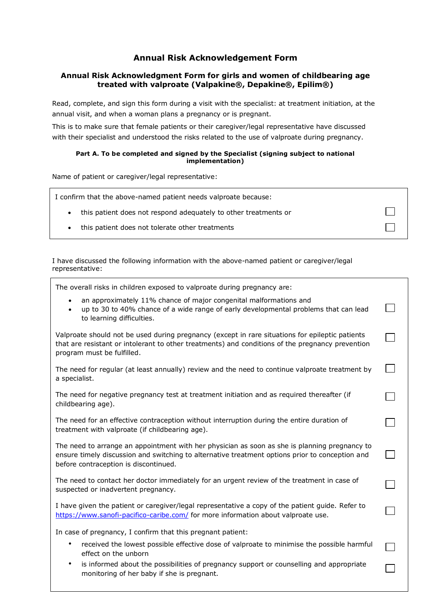# **Annual Risk Acknowledgement Form**

# **Annual Risk Acknowledgment Form for girls and women of childbearing age treated with valproate (Valpakine®, Depakine®, Epilim®)**

Read, complete, and sign this form during a visit with the specialist: at treatment initiation, at the annual visit, and when a woman plans a pregnancy or is pregnant.

This is to make sure that female patients or their caregiver/legal representative have discussed with their specialist and understood the risks related to the use of valproate during pregnancy.

#### **Part A. To be completed and signed by the Specialist (signing subject to national implementation)**

Name of patient or caregiver/legal representative:

| I confirm that the above-named patient needs valproate because: |  |
|-----------------------------------------------------------------|--|
| this patient does not respond adequately to other treatments or |  |
| this patient does not tolerate other treatments                 |  |

I have discussed the following information with the above-named patient or caregiver/legal representative:

The overall risks in children exposed to valproate during pregnancy are:

- an approximately 11% chance of major congenital malformations and
- up to 30 to 40% chance of a wide range of early developmental problems that can lead to learning difficulties.

 $\Box$ 

 $\Box$ 

l.

 $\Box$ 

 $\Box$ 

 $\Box$ 

 $\Box$ 

 $\Box$ 

Valproate should not be used during pregnancy (except in rare situations for epileptic patients that are resistant or intolerant to other treatments) and conditions of the pregnancy prevention program must be fulfilled.

The need for regular (at least annually) review and the need to continue valproate treatment by a specialist.

The need for negative pregnancy test at treatment initiation and as required thereafter (if childbearing age).

The need for an effective contraception without interruption during the entire duration of treatment with valproate (if childbearing age).

The need to arrange an appointment with her physician as soon as she is planning pregnancy to ensure timely discussion and switching to alternative treatment options prior to conception and before contraception is discontinued.

The need to contact her doctor immediately for an urgent review of the treatment in case of suspected or inadvertent pregnancy.

I have given the patient or caregiver/legal representative a copy of the patient guide. Refer to <https://www.sanofi-pacifico-caribe.com/> for more information about valproate use.

In case of pregnancy, I confirm that this pregnant patient:

- received the lowest possible effective dose of valproate to minimise the possible harmful effect on the unborn
- monitoring of her baby if she is pregnant. is informed about the possibilities of pregnancy support or counselling and appropriate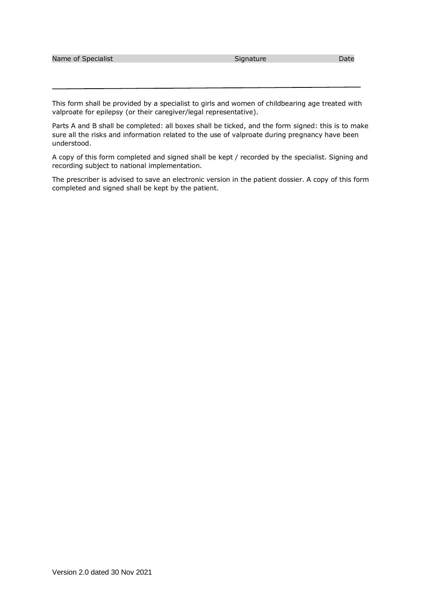| Name of Specialist | Signature | Date |
|--------------------|-----------|------|
|                    |           |      |

This form shall be provided by a specialist to girls and women of childbearing age treated with valproate for epilepsy (or their caregiver/legal representative).

Parts A and B shall be completed: all boxes shall be ticked, and the form signed: this is to make sure all the risks and information related to the use of valproate during pregnancy have been understood.

A copy of this form completed and signed shall be kept / recorded by the specialist. Signing and recording subject to national implementation.

The prescriber is advised to save an electronic version in the patient dossier. A copy of this form completed and signed shall be kept by the patient.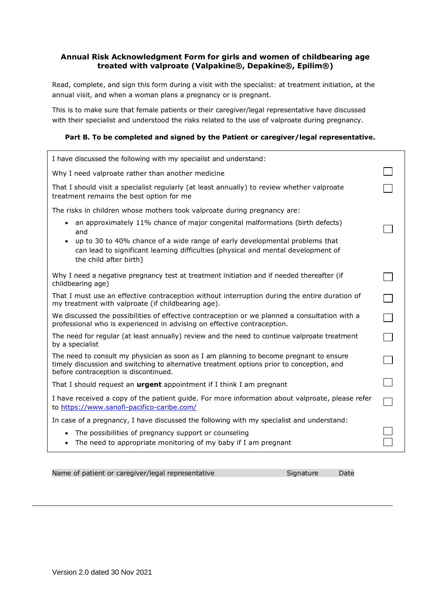## **Annual Risk Acknowledgment Form for girls and women of childbearing age treated with valproate (Valpakine®, Depakine®, Epilim®)**

Read, complete, and sign this form during a visit with the specialist: at treatment initiation, at the annual visit, and when a woman plans a pregnancy or is pregnant.

This is to make sure that female patients or their caregiver/legal representative have discussed with their specialist and understood the risks related to the use of valproate during pregnancy.

## **Part B. To be completed and signed by the Patient or caregiver/legal representative.**

| Why I need valproate rather than another medicine<br>That I should visit a specialist regularly (at least annually) to review whether valproate<br>treatment remains the best option for me<br>The risks in children whose mothers took valproate during pregnancy are:<br>• an approximately 11% chance of major congenital malformations (birth defects)<br>and<br>up to 30 to 40% chance of a wide range of early developmental problems that<br>can lead to significant learning difficulties (physical and mental development of<br>the child after birth)<br>Why I need a negative pregnancy test at treatment initiation and if needed thereafter (if<br>childbearing age)<br>That I must use an effective contraception without interruption during the entire duration of<br>my treatment with valproate (if childbearing age).<br>We discussed the possibilities of effective contraception or we planned a consultation with a<br>professional who is experienced in advising on effective contraception. | I have discussed the following with my specialist and understand:                            |  |
|----------------------------------------------------------------------------------------------------------------------------------------------------------------------------------------------------------------------------------------------------------------------------------------------------------------------------------------------------------------------------------------------------------------------------------------------------------------------------------------------------------------------------------------------------------------------------------------------------------------------------------------------------------------------------------------------------------------------------------------------------------------------------------------------------------------------------------------------------------------------------------------------------------------------------------------------------------------------------------------------------------------------|----------------------------------------------------------------------------------------------|--|
|                                                                                                                                                                                                                                                                                                                                                                                                                                                                                                                                                                                                                                                                                                                                                                                                                                                                                                                                                                                                                      |                                                                                              |  |
|                                                                                                                                                                                                                                                                                                                                                                                                                                                                                                                                                                                                                                                                                                                                                                                                                                                                                                                                                                                                                      |                                                                                              |  |
|                                                                                                                                                                                                                                                                                                                                                                                                                                                                                                                                                                                                                                                                                                                                                                                                                                                                                                                                                                                                                      |                                                                                              |  |
|                                                                                                                                                                                                                                                                                                                                                                                                                                                                                                                                                                                                                                                                                                                                                                                                                                                                                                                                                                                                                      |                                                                                              |  |
|                                                                                                                                                                                                                                                                                                                                                                                                                                                                                                                                                                                                                                                                                                                                                                                                                                                                                                                                                                                                                      |                                                                                              |  |
|                                                                                                                                                                                                                                                                                                                                                                                                                                                                                                                                                                                                                                                                                                                                                                                                                                                                                                                                                                                                                      |                                                                                              |  |
|                                                                                                                                                                                                                                                                                                                                                                                                                                                                                                                                                                                                                                                                                                                                                                                                                                                                                                                                                                                                                      |                                                                                              |  |
|                                                                                                                                                                                                                                                                                                                                                                                                                                                                                                                                                                                                                                                                                                                                                                                                                                                                                                                                                                                                                      |                                                                                              |  |
| by a specialist                                                                                                                                                                                                                                                                                                                                                                                                                                                                                                                                                                                                                                                                                                                                                                                                                                                                                                                                                                                                      | The need for regular (at least annually) review and the need to continue valproate treatment |  |
| The need to consult my physician as soon as I am planning to become pregnant to ensure<br>timely discussion and switching to alternative treatment options prior to conception, and<br>before contraception is discontinued.                                                                                                                                                                                                                                                                                                                                                                                                                                                                                                                                                                                                                                                                                                                                                                                         |                                                                                              |  |
| That I should request an <b>urgent</b> appointment if I think I am pregnant                                                                                                                                                                                                                                                                                                                                                                                                                                                                                                                                                                                                                                                                                                                                                                                                                                                                                                                                          |                                                                                              |  |
| I have received a copy of the patient guide. For more information about valproate, please refer<br>to https://www.sanofi-pacifico-caribe.com/                                                                                                                                                                                                                                                                                                                                                                                                                                                                                                                                                                                                                                                                                                                                                                                                                                                                        |                                                                                              |  |
| In case of a pregnancy, I have discussed the following with my specialist and understand:                                                                                                                                                                                                                                                                                                                                                                                                                                                                                                                                                                                                                                                                                                                                                                                                                                                                                                                            |                                                                                              |  |
| • The possibilities of pregnancy support or counseling<br>The need to appropriate monitoring of my baby if I am pregnant                                                                                                                                                                                                                                                                                                                                                                                                                                                                                                                                                                                                                                                                                                                                                                                                                                                                                             |                                                                                              |  |

Name of patient or caregiver/legal representative Signature Signature Date